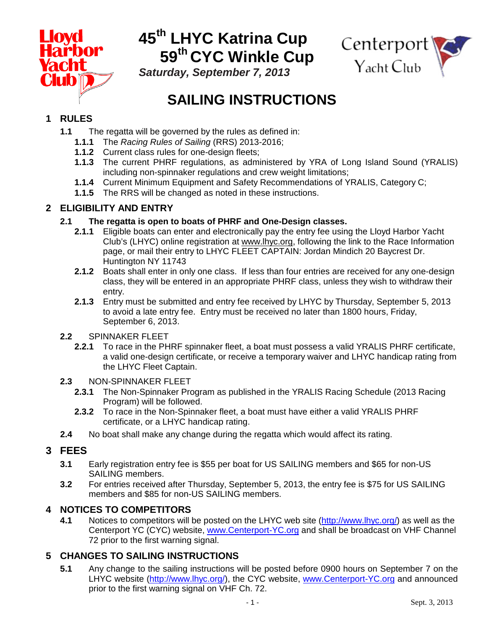

# **45th LHYC Katrina Cup 59th CYC Winkle Cup**



*Saturday, September 7, 2013*

## **SAILING INSTRUCTIONS**

## **1 RULES**

- **1.1** The regatta will be governed by the rules as defined in:
	- **1.1.1** The *Racing Rules of Sailing* (RRS) 2013-2016;
	- **1.1.2** Current class rules for one-design fleets;
	- **1.1.3** The current PHRF regulations, as administered by YRA of Long Island Sound (YRALIS) including non-spinnaker regulations and crew weight limitations;
	- **1.1.4** Current Minimum Equipment and Safety Recommendations of YRALIS, Category C;
	- **1.1.5** The RRS will be changed as noted in these instructions.

## **2 ELIGIBILITY AND ENTRY**

- **2.1 The regatta is open to boats of PHRF and One-Design classes.**
	- **2.1.1** Eligible boats can enter and electronically pay the entry fee using the Lloyd Harbor Yacht Club's (LHYC) online registration at www.lhyc.org, following the link to the Race Information page, or mail their entry to LHYC FLEET CAPTAIN: Jordan Mindich 20 Baycrest Dr. Huntington NY 11743
	- **2.1.2** Boats shall enter in only one class. If less than four entries are received for any one-design class, they will be entered in an appropriate PHRF class, unless they wish to withdraw their entry.
	- **2.1.3** Entry must be submitted and entry fee received by LHYC by Thursday, September 5, 2013 to avoid a late entry fee. Entry must be received no later than 1800 hours, Friday, September 6, 2013.
- **2.2** SPINNAKER FLEET
	- **2.2.1** To race in the PHRF spinnaker fleet, a boat must possess a valid YRALIS PHRF certificate, a valid one-design certificate, or receive a temporary waiver and LHYC handicap rating from the LHYC Fleet Captain.
- **2.3** NON-SPINNAKER FLEET
	- **2.3.1** The Non-Spinnaker Program as published in the YRALIS Racing Schedule (2013 Racing Program) will be followed.
	- **2.3.2** To race in the Non-Spinnaker fleet, a boat must have either a valid YRALIS PHRF certificate, or a LHYC handicap rating.
- **2.4** No boat shall make any change during the regatta which would affect its rating.

## **3 FEES**

- **3.1** Early registration entry fee is \$55 per boat for US SAILING members and \$65 for non-US SAILING members.
- **3.2** For entries received after Thursday, September 5, 2013, the entry fee is \$75 for US SAILING members and \$85 for non-US SAILING members.

# **4 NOTICES TO COMPETITORS**

Notices to competitors will be posted on the LHYC web site [\(http://www.lhyc.org/\)](http://www.lhyc.org/) as well as the Centerport YC (CYC) website, [www.Centerport-YC.org](http://www.centerport-yc.org/) and shall be broadcast on VHF Channel 72 prior to the first warning signal.

## **5 CHANGES TO SAILING INSTRUCTIONS**

**5.1** Any change to the sailing instructions will be posted before 0900 hours on September 7 on the LHYC website [\(http://www.lhyc.org/\)](http://www.lhyc.org/), the CYC website, [www.Centerport-YC.org](http://www.centerport-yc.org/) and announced prior to the first warning signal on VHF Ch. 72.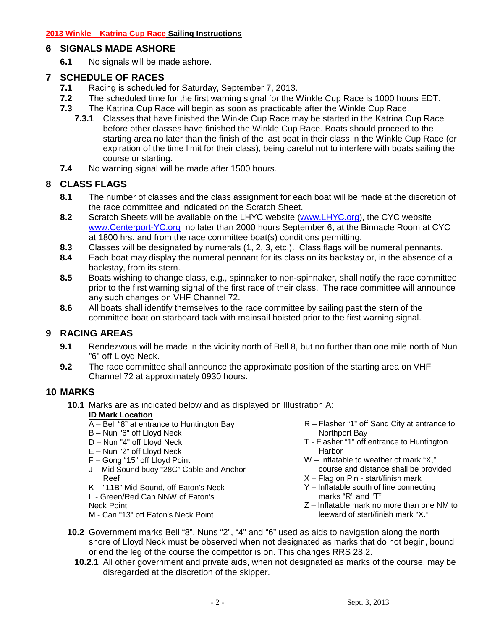### **6 SIGNALS MADE ASHORE**

**6.1** No signals will be made ashore.

### **7 SCHEDULE OF RACES**

- **7.1** Racing is scheduled for Saturday, September 7, 2013.
- **7.2** The scheduled time for the first warning signal for the Winkle Cup Race is 1000 hours EDT.
- **7.3** The Katrina Cup Race will begin as soon as practicable after the Winkle Cup Race.
	- **7.3.1** Classes that have finished the Winkle Cup Race may be started in the Katrina Cup Race before other classes have finished the Winkle Cup Race. Boats should proceed to the starting area no later than the finish of the last boat in their class in the Winkle Cup Race (or expiration of the time limit for their class), being careful not to interfere with boats sailing the course or starting.
- **7.4** No warning signal will be made after 1500 hours.

## **8 CLASS FLAGS**

- **8.1** The number of classes and the class assignment for each boat will be made at the discretion of the race committee and indicated on the Scratch Sheet.
- **8.2** Scratch Sheets will be available on the LHYC website [\(www.LHYC.org\)](http://www.lhyc.org/), the CYC website [www.Centerport-YC.org](http://www.centerport-yc.org/) no later than 2000 hours September 6, at the Binnacle Room at CYC at 1800 hrs. and from the race committee boat(s) conditions permitting.
- **8.3** Classes will be designated by numerals (1, 2, 3, etc.). Class flags will be numeral pennants.
- **8.4** Each boat may display the numeral pennant for its class on its backstay or, in the absence of a backstay, from its stern.
- **8.5** Boats wishing to change class, e.g., spinnaker to non-spinnaker, shall notify the race committee prior to the first warning signal of the first race of their class. The race committee will announce any such changes on VHF Channel 72.
- **8.6** All boats shall identify themselves to the race committee by sailing past the stern of the committee boat on starboard tack with mainsail hoisted prior to the first warning signal.

## **9 RACING AREAS**

- **9.1** Rendezvous will be made in the vicinity north of Bell 8, but no further than one mile north of Nun "6" off Lloyd Neck.
- **9.2** The race committee shall announce the approximate position of the starting area on VHF Channel 72 at approximately 0930 hours.

### **10 MARKS**

**10.1** Marks are as indicated below and as displayed on Illustration A:

#### **ID Mark Location**

- A Bell "8" at entrance to Huntington Bay
- B Nun "6" off Lloyd Neck
- D Nun "4" off Lloyd Neck
- E Nun "2" off Lloyd Neck
- F Gong "15" off Lloyd Point
- J Mid Sound buoy "28C" Cable and Anchor Reef
- K "11B" Mid-Sound, off Eaton's Neck

L - Green/Red Can NNW of Eaton's

- Neck Point
- M Can "13" off Eaton's Neck Point
- R Flasher "1" off Sand City at entrance to Northport Bay
- T Flasher "1" off entrance to Huntington Harbor
- W Inflatable to weather of mark "X," course and distance shall be provided
- $X$  Flag on Pin start/finish mark
- Y Inflatable south of line connecting marks "R" and "T"
- Z Inflatable mark no more than one NM to leeward of start/finish mark "X."
- **10.2** Government marks Bell "8", Nuns "2", "4" and "6" used as aids to navigation along the north shore of Lloyd Neck must be observed when not designated as marks that do not begin, bound or end the leg of the course the competitor is on. This changes RRS 28.2.
	- **10.2.1** All other government and private aids, when not designated as marks of the course, may be disregarded at the discretion of the skipper.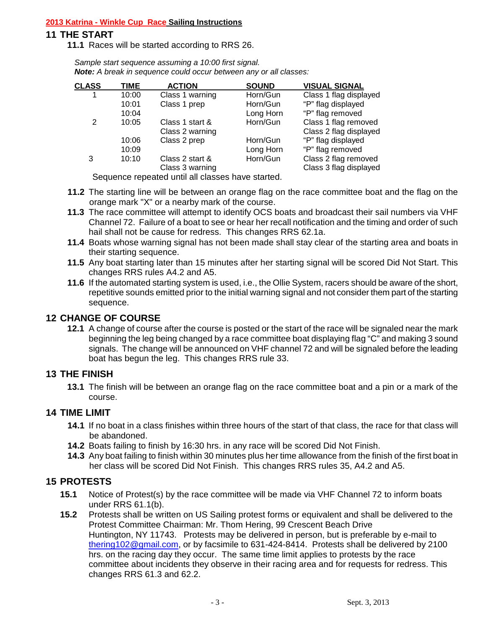#### **2013 Katrina - Winkle Cup Race Sailing Instructions**

#### **11 THE START**

**11.1** Races will be started according to RRS 26.

*Sample start sequence assuming a 10:00 first signal. Note: A break in sequence could occur between any or all classes:*

| <b>CLASS</b> | TIME  | <b>ACTION</b>   | <b>SOUND</b> | <b>VISUAL SIGNAL</b>   |
|--------------|-------|-----------------|--------------|------------------------|
| 1            | 10:00 | Class 1 warning | Horn/Gun     | Class 1 flag displayed |
|              | 10:01 | Class 1 prep    | Horn/Gun     | "P" flag displayed     |
|              | 10:04 |                 | Long Horn    | "P" flag removed       |
| 2            | 10:05 | Class 1 start & | Horn/Gun     | Class 1 flag removed   |
|              |       | Class 2 warning |              | Class 2 flag displayed |
|              | 10:06 | Class 2 prep    | Horn/Gun     | "P" flag displayed     |
|              | 10:09 |                 | Long Horn    | "P" flag removed       |
| 3            | 10:10 | Class 2 start & | Horn/Gun     | Class 2 flag removed   |
|              |       | Class 3 warning |              | Class 3 flag displayed |

Sequence repeated until all classes have started.

- **11.2** The starting line will be between an orange flag on the race committee boat and the flag on the orange mark "X" or a nearby mark of the course.
- **11.3** The race committee will attempt to identify OCS boats and broadcast their sail numbers via VHF Channel 72. Failure of a boat to see or hear her recall notification and the timing and order of such hail shall not be cause for redress. This changes RRS 62.1a.
- **11.4** Boats whose warning signal has not been made shall stay clear of the starting area and boats in their starting sequence.
- **11.5** Any boat starting later than 15 minutes after her starting signal will be scored Did Not Start. This changes RRS rules A4.2 and A5.
- **11.6** If the automated starting system is used, i.e., the Ollie System, racers should be aware of the short, repetitive sounds emitted prior to the initial warning signal and not consider them part of the starting sequence.

### **12 CHANGE OF COURSE**

**12.1** A change of course after the course is posted or the start of the race will be signaled near the mark beginning the leg being changed by a race committee boat displaying flag "C" and making 3 sound signals. The change will be announced on VHF channel 72 and will be signaled before the leading boat has begun the leg. This changes RRS rule 33.

### **13 THE FINISH**

**13.1** The finish will be between an orange flag on the race committee boat and a pin or a mark of the course.

### **14 TIME LIMIT**

- **14.1** If no boat in a class finishes within three hours of the start of that class, the race for that class will be abandoned.
- **14.2** Boats failing to finish by 16:30 hrs. in any race will be scored Did Not Finish.
- **14.3** Any boat failing to finish within 30 minutes plus her time allowance from the finish of the first boat in her class will be scored Did Not Finish. This changes RRS rules 35, A4.2 and A5.

### **15 PROTESTS**

- **15.1** Notice of Protest(s) by the race committee will be made via VHF Channel 72 to inform boats under RRS 61.1(b).
- **15.2** Protests shall be written on US Sailing protest forms or equivalent and shall be delivered to the Protest Committee Chairman: Mr. Thom Hering, 99 Crescent Beach Drive Huntington, NY 11743. Protests may be delivered in person, but is preferable by e-mail to [thering102@gmail.com,](mailto:thering102@gmail.com) or by facsimile to 631-424-8414. Protests shall be delivered by 2100 hrs. on the racing day they occur. The same time limit applies to protests by the race committee about incidents they observe in their racing area and for requests for redress. This changes RRS 61.3 and 62.2.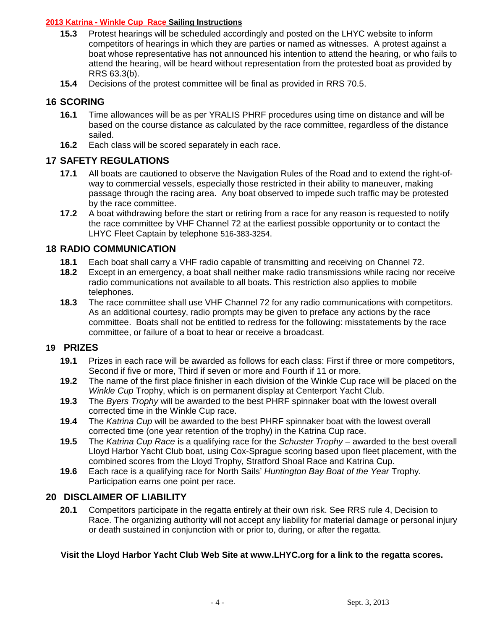#### **2013 Katrina - Winkle Cup Race Sailing Instructions**

- **15.3** Protest hearings will be scheduled accordingly and posted on the LHYC website to inform competitors of hearings in which they are parties or named as witnesses. A protest against a boat whose representative has not announced his intention to attend the hearing, or who fails to attend the hearing, will be heard without representation from the protested boat as provided by RRS 63.3(b).
- **15.4** Decisions of the protest committee will be final as provided in RRS 70.5.

#### **16 SCORING**

- **16.1** Time allowances will be as per YRALIS PHRF procedures using time on distance and will be based on the course distance as calculated by the race committee, regardless of the distance sailed.
- **16.2** Each class will be scored separately in each race.

#### **17 SAFETY REGULATIONS**

- **17.1** All boats are cautioned to observe the Navigation Rules of the Road and to extend the right-ofway to commercial vessels, especially those restricted in their ability to maneuver, making passage through the racing area. Any boat observed to impede such traffic may be protested by the race committee.
- **17.2** A boat withdrawing before the start or retiring from a race for any reason is requested to notify the race committee by VHF Channel 72 at the earliest possible opportunity or to contact the LHYC Fleet Captain by telephone 516-383-3254.

#### **18 RADIO COMMUNICATION**

- 18.1 Each boat shall carry a VHF radio capable of transmitting and receiving on Channel 72.<br>18.2 Except in an emergency, a boat shall neither make radio transmissions while racing nor
- **18.2** Except in an emergency, a boat shall neither make radio transmissions while racing nor receive radio communications not available to all boats. This restriction also applies to mobile telephones.
- **18.3** The race committee shall use VHF Channel 72 for any radio communications with competitors. As an additional courtesy, radio prompts may be given to preface any actions by the race committee. Boats shall not be entitled to redress for the following: misstatements by the race committee, or failure of a boat to hear or receive a broadcast.

#### **19 PRIZES**

- **19.1** Prizes in each race will be awarded as follows for each class: First if three or more competitors, Second if five or more, Third if seven or more and Fourth if 11 or more.
- **19.2** The name of the first place finisher in each division of the Winkle Cup race will be placed on the *Winkle Cup* Trophy, which is on permanent display at Centerport Yacht Club.
- **19.3** The *Byers Trophy* will be awarded to the best PHRF spinnaker boat with the lowest overall corrected time in the Winkle Cup race.
- **19.4** The *Katrina Cup* will be awarded to the best PHRF spinnaker boat with the lowest overall corrected time (one year retention of the trophy) in the Katrina Cup race.
- **19.5** The *Katrina Cup Race* is a qualifying race for the *Schuster Trophy* awarded to the best overall Lloyd Harbor Yacht Club boat, using Cox-Sprague scoring based upon fleet placement, with the combined scores from the Lloyd Trophy, Stratford Shoal Race and Katrina Cup.
- **19.6** Each race is a qualifying race for North Sails' *Huntington Bay Boat of the Year* Trophy. Participation earns one point per race.

#### **20 DISCLAIMER OF LIABILITY**

**20.1** Competitors participate in the regatta entirely at their own risk. See RRS rule 4, Decision to Race. The organizing authority will not accept any liability for material damage or personal injury or death sustained in conjunction with or prior to, during, or after the regatta.

#### **Visit the Lloyd Harbor Yacht Club Web Site at www.LHYC.org for a link to the regatta scores.**